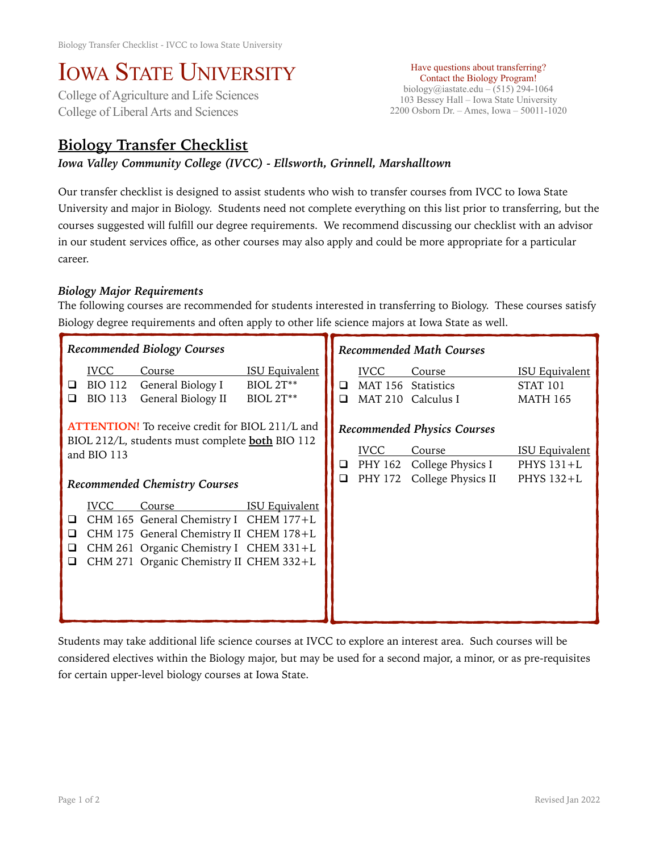# IOWA STATE UNIVERSITY<br>College of Agriculture and Life Sciences

College of Liberal Arts and Sciences

Have questions about transferring? Contact the Biology Program! biology@iastate.edu – (515) 294-1064 103 Bessey Hall – Iowa State University 2200 Osborn Dr. – Ames, Iowa – 50011-1020

## **Biology Transfer Checklist**

### *Iowa Valley Community College (IVCC) - Ellsworth, Grinnell, Marshalltown*

Our transfer checklist is designed to assist students who wish to transfer courses from IVCC to Iowa State University and major in Biology. Students need not complete everything on this list prior to transferring, but the courses suggested will fulfill our degree requirements. We recommend discussing our checklist with an advisor in our student services office, as other courses may also apply and could be more appropriate for a particular career.

#### *Biology Major Requirements*

The following courses are recommended for students interested in transferring to Biology. These courses satisfy Biology degree requirements and often apply to other life science majors at Iowa State as well.

| Recommended Biology Courses                                                                                                                                      |                                                 |                                                                                                                                                                                  | <b>Recommended Math Courses</b>                          |                                   |                                                                                         |                                                     |                                                             |
|------------------------------------------------------------------------------------------------------------------------------------------------------------------|-------------------------------------------------|----------------------------------------------------------------------------------------------------------------------------------------------------------------------------------|----------------------------------------------------------|-----------------------------------|-----------------------------------------------------------------------------------------|-----------------------------------------------------|-------------------------------------------------------------|
| ❏<br>ப                                                                                                                                                           | <b>IVCC</b><br><b>BIO 112</b><br><b>BIO 113</b> | Course<br>General Biology I<br>General Biology II                                                                                                                                | <b>ISU Equivalent</b><br><b>BIOL 2T**</b><br>$BIOL 2T**$ | □<br>□                            | <b>IVCC</b><br><b>MAT 156</b><br><b>MAT 210</b>                                         | Course<br>Statistics<br>Calculus I                  | <b>ISU Equivalent</b><br><b>STAT 101</b><br><b>MATH 165</b> |
| <b>ATTENTION!</b> To receive credit for BIOL 211/L and<br>BIOL 212/L, students must complete <b>both</b> BIO 112<br>and BIO 113<br>Recommended Chemistry Courses |                                                 |                                                                                                                                                                                  | ⊔<br>$\Box$                                              | <b>IVCC</b><br>PHY 162<br>PHY 172 | <b>Recommended Physics Courses</b><br>Course<br>College Physics I<br>College Physics II | <b>ISU Equivalent</b><br>PHYS $131+L$<br>PHYS 132+L |                                                             |
| □<br>❏<br>❏<br>⊔                                                                                                                                                 | <b>IVCC</b>                                     | Course<br>CHM 165 General Chemistry I CHEM 177+L<br>CHM 175 General Chemistry II CHEM 178+L<br>CHM 261 Organic Chemistry I CHEM 331+L<br>CHM 271 Organic Chemistry II CHEM 332+L | <b>ISU Equivalent</b>                                    |                                   |                                                                                         |                                                     |                                                             |

Students may take additional life science courses at IVCC to explore an interest area. Such courses will be considered electives within the Biology major, but may be used for a second major, a minor, or as pre-requisites for certain upper-level biology courses at Iowa State.